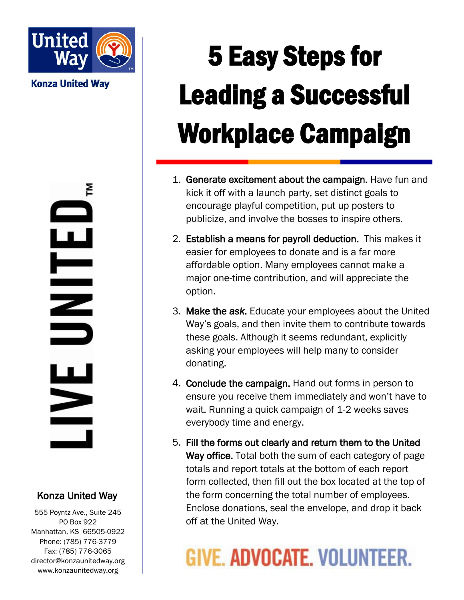

**Konza United Way** 

혼  $\mathbf{S}$ 

#### Konza United Way

555 Poyntz Ave., Suite 245 PO Box 922 Manhattan, KS 66505-0922 Phone: (785) 776-3779 Fax: (785) 776-3065 director@konzaunitedway.org www.konzaunitedway.org

# 5 Easy Steps for Leading a Successful Workplace Campaign

- 1. Generate excitement about the campaign. Have fun and kick it off with a launch party, set distinct goals to encourage playful competition, put up posters to publicize, and involve the bosses to inspire others.
- 2. Establish a means for payroll deduction. This makes it easier for employees to donate and is a far more affordable option. Many employees cannot make a major one-time contribution, and will appreciate the option.
- 3. Make the *ask*. Educate your employees about the United Way's goals, and then invite them to contribute towards these goals. Although it seems redundant, explicitly asking your employees will help many to consider donating.
- 4. Conclude the campaign. Hand out forms in person to ensure you receive them immediately and won't have to wait. Running a quick campaign of 1-2 weeks saves everybody time and energy.
- 5. Fill the forms out clearly and return them to the United Way office. Total both the sum of each category of page totals and report totals at the bottom of each report form collected, then fill out the box located at the top of the form concerning the total number of employees. Enclose donations, seal the envelope, and drop it back off at the United Way.

## GIVE. ADVOCATE, VOLUNTEER.